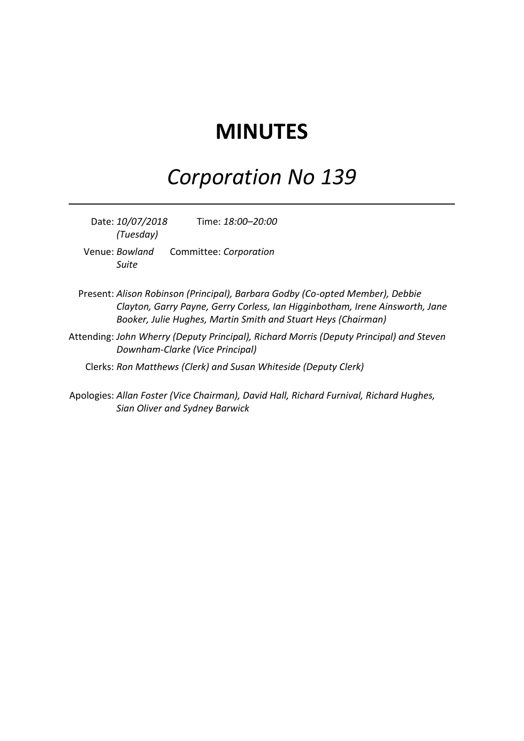# **MINUTES**

# *Corporation No 139*

Date: *10/07/2018 (Tuesday)* Time: *18:00–20:00* Venue: *Bowland Suite* Committee: *Corporation*

- Present: *Alison Robinson (Principal), Barbara Godby (Co-opted Member), Debbie Clayton, Garry Payne, Gerry Corless, Ian Higginbotham, Irene Ainsworth, Jane Booker, Julie Hughes, Martin Smith and Stuart Heys (Chairman)*
- Attending: *John Wherry (Deputy Principal), Richard Morris (Deputy Principal) and Steven Downham-Clarke (Vice Principal)*
	- Clerks: *Ron Matthews (Clerk) and Susan Whiteside (Deputy Clerk)*
- Apologies: *Allan Foster (Vice Chairman), David Hall, Richard Furnival, Richard Hughes, Sian Oliver and Sydney Barwick*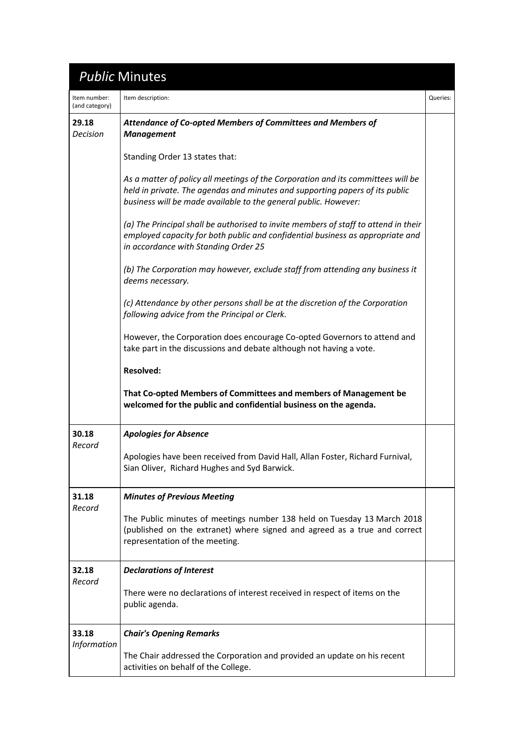# *Public* Minutes

| Item number:<br>(and category) | Item description:                                                                                                                                                                                                                   | Queries: |
|--------------------------------|-------------------------------------------------------------------------------------------------------------------------------------------------------------------------------------------------------------------------------------|----------|
| 29.18<br><b>Decision</b>       | Attendance of Co-opted Members of Committees and Members of<br><b>Management</b>                                                                                                                                                    |          |
|                                | Standing Order 13 states that:                                                                                                                                                                                                      |          |
|                                | As a matter of policy all meetings of the Corporation and its committees will be<br>held in private. The agendas and minutes and supporting papers of its public<br>business will be made available to the general public. However: |          |
|                                | (a) The Principal shall be authorised to invite members of staff to attend in their<br>employed capacity for both public and confidential business as appropriate and<br>in accordance with Standing Order 25                       |          |
|                                | (b) The Corporation may however, exclude staff from attending any business it<br>deems necessary.                                                                                                                                   |          |
|                                | (c) Attendance by other persons shall be at the discretion of the Corporation<br>following advice from the Principal or Clerk.                                                                                                      |          |
|                                | However, the Corporation does encourage Co-opted Governors to attend and<br>take part in the discussions and debate although not having a vote.                                                                                     |          |
|                                | <b>Resolved:</b>                                                                                                                                                                                                                    |          |
|                                | That Co-opted Members of Committees and members of Management be<br>welcomed for the public and confidential business on the agenda.                                                                                                |          |
| 30.18<br>Record                | <b>Apologies for Absence</b>                                                                                                                                                                                                        |          |
|                                | Apologies have been received from David Hall, Allan Foster, Richard Furnival,<br>Sian Oliver, Richard Hughes and Syd Barwick.                                                                                                       |          |
| 31.18                          | <b>Minutes of Previous Meeting</b>                                                                                                                                                                                                  |          |
| Record                         | The Public minutes of meetings number 138 held on Tuesday 13 March 2018<br>(published on the extranet) where signed and agreed as a true and correct<br>representation of the meeting.                                              |          |
| 32.18                          | <b>Declarations of Interest</b>                                                                                                                                                                                                     |          |
| Record                         | There were no declarations of interest received in respect of items on the<br>public agenda.                                                                                                                                        |          |
| 33.18                          | <b>Chair's Opening Remarks</b>                                                                                                                                                                                                      |          |
| <b>Information</b>             | The Chair addressed the Corporation and provided an update on his recent<br>activities on behalf of the College.                                                                                                                    |          |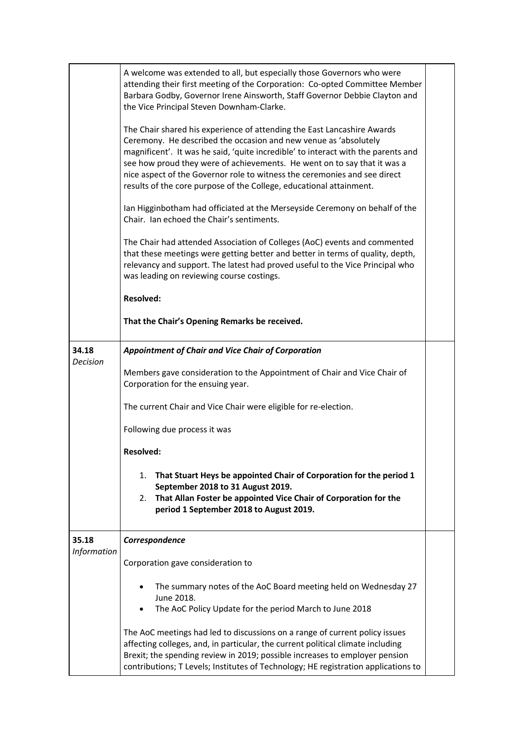|                      | A welcome was extended to all, but especially those Governors who were<br>attending their first meeting of the Corporation: Co-opted Committee Member<br>Barbara Godby, Governor Irene Ainsworth, Staff Governor Debbie Clayton and<br>the Vice Principal Steven Downham-Clarke.<br>The Chair shared his experience of attending the East Lancashire Awards<br>Ceremony. He described the occasion and new venue as 'absolutely<br>magnificent'. It was he said, 'quite incredible' to interact with the parents and<br>see how proud they were of achievements. He went on to say that it was a<br>nice aspect of the Governor role to witness the ceremonies and see direct<br>results of the core purpose of the College, educational attainment.<br>Ian Higginbotham had officiated at the Merseyside Ceremony on behalf of the<br>Chair. Ian echoed the Chair's sentiments.<br>The Chair had attended Association of Colleges (AoC) events and commented<br>that these meetings were getting better and better in terms of quality, depth,<br>relevancy and support. The latest had proved useful to the Vice Principal who<br>was leading on reviewing course costings.<br><b>Resolved:</b><br>That the Chair's Opening Remarks be received. |  |
|----------------------|----------------------------------------------------------------------------------------------------------------------------------------------------------------------------------------------------------------------------------------------------------------------------------------------------------------------------------------------------------------------------------------------------------------------------------------------------------------------------------------------------------------------------------------------------------------------------------------------------------------------------------------------------------------------------------------------------------------------------------------------------------------------------------------------------------------------------------------------------------------------------------------------------------------------------------------------------------------------------------------------------------------------------------------------------------------------------------------------------------------------------------------------------------------------------------------------------------------------------------------------------|--|
| 34.18                | <b>Appointment of Chair and Vice Chair of Corporation</b>                                                                                                                                                                                                                                                                                                                                                                                                                                                                                                                                                                                                                                                                                                                                                                                                                                                                                                                                                                                                                                                                                                                                                                                          |  |
| <b>Decision</b>      | Members gave consideration to the Appointment of Chair and Vice Chair of<br>Corporation for the ensuing year.                                                                                                                                                                                                                                                                                                                                                                                                                                                                                                                                                                                                                                                                                                                                                                                                                                                                                                                                                                                                                                                                                                                                      |  |
|                      | The current Chair and Vice Chair were eligible for re-election.                                                                                                                                                                                                                                                                                                                                                                                                                                                                                                                                                                                                                                                                                                                                                                                                                                                                                                                                                                                                                                                                                                                                                                                    |  |
|                      | Following due process it was                                                                                                                                                                                                                                                                                                                                                                                                                                                                                                                                                                                                                                                                                                                                                                                                                                                                                                                                                                                                                                                                                                                                                                                                                       |  |
|                      | <b>Resolved:</b>                                                                                                                                                                                                                                                                                                                                                                                                                                                                                                                                                                                                                                                                                                                                                                                                                                                                                                                                                                                                                                                                                                                                                                                                                                   |  |
|                      | That Stuart Heys be appointed Chair of Corporation for the period 1<br>1.<br>September 2018 to 31 August 2019.<br>That Allan Foster be appointed Vice Chair of Corporation for the<br>2.<br>period 1 September 2018 to August 2019.                                                                                                                                                                                                                                                                                                                                                                                                                                                                                                                                                                                                                                                                                                                                                                                                                                                                                                                                                                                                                |  |
| 35.18<br>Information | Correspondence                                                                                                                                                                                                                                                                                                                                                                                                                                                                                                                                                                                                                                                                                                                                                                                                                                                                                                                                                                                                                                                                                                                                                                                                                                     |  |
|                      | Corporation gave consideration to                                                                                                                                                                                                                                                                                                                                                                                                                                                                                                                                                                                                                                                                                                                                                                                                                                                                                                                                                                                                                                                                                                                                                                                                                  |  |
|                      | The summary notes of the AoC Board meeting held on Wednesday 27<br>June 2018.<br>The AoC Policy Update for the period March to June 2018                                                                                                                                                                                                                                                                                                                                                                                                                                                                                                                                                                                                                                                                                                                                                                                                                                                                                                                                                                                                                                                                                                           |  |
|                      | The AoC meetings had led to discussions on a range of current policy issues<br>affecting colleges, and, in particular, the current political climate including<br>Brexit; the spending review in 2019; possible increases to employer pension<br>contributions; T Levels; Institutes of Technology; HE registration applications to                                                                                                                                                                                                                                                                                                                                                                                                                                                                                                                                                                                                                                                                                                                                                                                                                                                                                                                |  |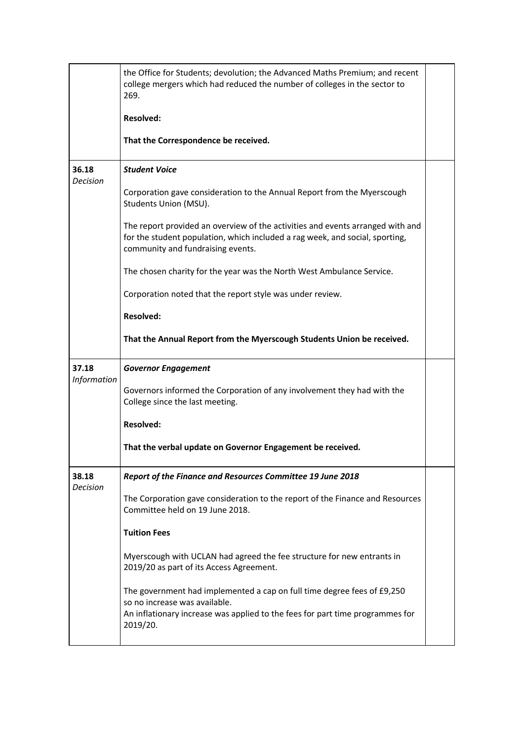|                          | the Office for Students; devolution; the Advanced Maths Premium; and recent<br>college mergers which had reduced the number of colleges in the sector to<br>269.<br><b>Resolved:</b><br>That the Correspondence be received.                                                                                                                                                                                                                                                                                                                                        |  |
|--------------------------|---------------------------------------------------------------------------------------------------------------------------------------------------------------------------------------------------------------------------------------------------------------------------------------------------------------------------------------------------------------------------------------------------------------------------------------------------------------------------------------------------------------------------------------------------------------------|--|
| 36.18<br>Decision        | <b>Student Voice</b><br>Corporation gave consideration to the Annual Report from the Myerscough<br>Students Union (MSU).<br>The report provided an overview of the activities and events arranged with and<br>for the student population, which included a rag week, and social, sporting,<br>community and fundraising events.<br>The chosen charity for the year was the North West Ambulance Service.<br>Corporation noted that the report style was under review.<br><b>Resolved:</b><br>That the Annual Report from the Myerscough Students Union be received. |  |
| 37.18<br>Information     | <b>Governor Engagement</b><br>Governors informed the Corporation of any involvement they had with the<br>College since the last meeting.<br><b>Resolved:</b><br>That the verbal update on Governor Engagement be received.                                                                                                                                                                                                                                                                                                                                          |  |
| 38.18<br><b>Decision</b> | Report of the Finance and Resources Committee 19 June 2018<br>The Corporation gave consideration to the report of the Finance and Resources<br>Committee held on 19 June 2018.<br><b>Tuition Fees</b><br>Myerscough with UCLAN had agreed the fee structure for new entrants in<br>2019/20 as part of its Access Agreement.<br>The government had implemented a cap on full time degree fees of £9,250<br>so no increase was available.<br>An inflationary increase was applied to the fees for part time programmes for<br>2019/20.                                |  |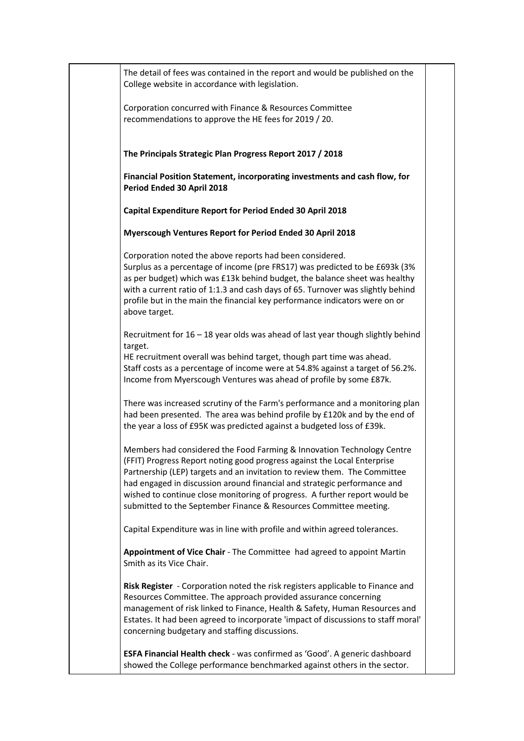| The detail of fees was contained in the report and would be published on the<br>College website in accordance with legislation.                                                                                                                                                                                                                                                                                                                                |  |
|----------------------------------------------------------------------------------------------------------------------------------------------------------------------------------------------------------------------------------------------------------------------------------------------------------------------------------------------------------------------------------------------------------------------------------------------------------------|--|
| Corporation concurred with Finance & Resources Committee<br>recommendations to approve the HE fees for 2019 / 20.                                                                                                                                                                                                                                                                                                                                              |  |
| The Principals Strategic Plan Progress Report 2017 / 2018                                                                                                                                                                                                                                                                                                                                                                                                      |  |
| Financial Position Statement, incorporating investments and cash flow, for<br>Period Ended 30 April 2018                                                                                                                                                                                                                                                                                                                                                       |  |
| Capital Expenditure Report for Period Ended 30 April 2018                                                                                                                                                                                                                                                                                                                                                                                                      |  |
| Myerscough Ventures Report for Period Ended 30 April 2018                                                                                                                                                                                                                                                                                                                                                                                                      |  |
| Corporation noted the above reports had been considered.<br>Surplus as a percentage of income (pre FRS17) was predicted to be £693k (3%<br>as per budget) which was £13k behind budget, the balance sheet was healthy<br>with a current ratio of 1:1.3 and cash days of 65. Turnover was slightly behind<br>profile but in the main the financial key performance indicators were on or<br>above target.                                                       |  |
| Recruitment for 16 - 18 year olds was ahead of last year though slightly behind<br>target.<br>HE recruitment overall was behind target, though part time was ahead.<br>Staff costs as a percentage of income were at 54.8% against a target of 56.2%.<br>Income from Myerscough Ventures was ahead of profile by some £87k.                                                                                                                                    |  |
| There was increased scrutiny of the Farm's performance and a monitoring plan<br>had been presented. The area was behind profile by £120k and by the end of<br>the year a loss of £95K was predicted against a budgeted loss of £39k.                                                                                                                                                                                                                           |  |
| Members had considered the Food Farming & Innovation Technology Centre<br>(FFIT) Progress Report noting good progress against the Local Enterprise<br>Partnership (LEP) targets and an invitation to review them. The Committee<br>had engaged in discussion around financial and strategic performance and<br>wished to continue close monitoring of progress. A further report would be<br>submitted to the September Finance & Resources Committee meeting. |  |
| Capital Expenditure was in line with profile and within agreed tolerances.                                                                                                                                                                                                                                                                                                                                                                                     |  |
| Appointment of Vice Chair - The Committee had agreed to appoint Martin<br>Smith as its Vice Chair.                                                                                                                                                                                                                                                                                                                                                             |  |
| Risk Register - Corporation noted the risk registers applicable to Finance and<br>Resources Committee. The approach provided assurance concerning<br>management of risk linked to Finance, Health & Safety, Human Resources and<br>Estates. It had been agreed to incorporate 'impact of discussions to staff moral'<br>concerning budgetary and staffing discussions.                                                                                         |  |
| ESFA Financial Health check - was confirmed as 'Good'. A generic dashboard<br>showed the College performance benchmarked against others in the sector.                                                                                                                                                                                                                                                                                                         |  |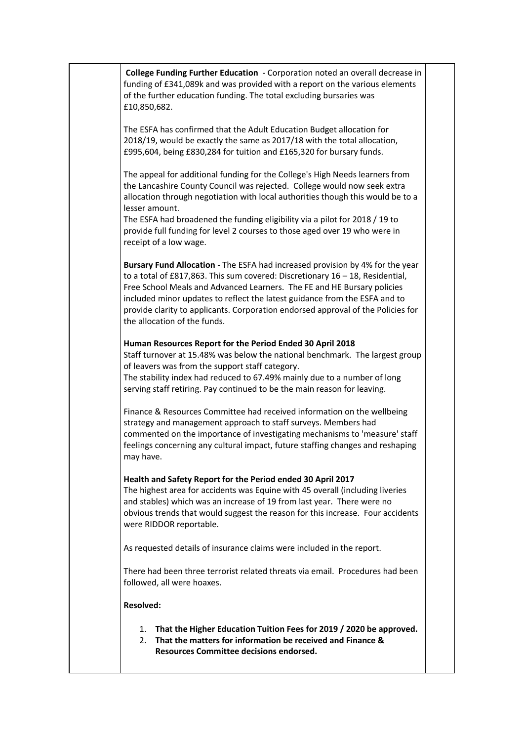**College Funding Further Education** - Corporation noted an overall decrease in funding of £341,089k and was provided with a report on the various elements of the further education funding. The total excluding bursaries was £10,850,682. The ESFA has confirmed that the Adult Education Budget allocation for 2018/19, would be exactly the same as 2017/18 with the total allocation, £995,604, being £830,284 for tuition and £165,320 for bursary funds. The appeal for additional funding for the College's High Needs learners from the Lancashire County Council was rejected. College would now seek extra allocation through negotiation with local authorities though this would be to a lesser amount. The ESFA had broadened the funding eligibility via a pilot for 2018 / 19 to provide full funding for level 2 courses to those aged over 19 who were in receipt of a low wage. **Bursary Fund Allocation** - The ESFA had increased provision by 4% for the year to a total of £817,863. This sum covered: Discretionary 16 – 18, Residential, Free School Meals and Advanced Learners. The FE and HE Bursary policies included minor updates to reflect the latest guidance from the ESFA and to provide clarity to applicants. Corporation endorsed approval of the Policies for the allocation of the funds. **Human Resources Report for the Period Ended 30 April 2018** Staff turnover at 15.48% was below the national benchmark. The largest group of leavers was from the support staff category. The stability index had reduced to 67.49% mainly due to a number of long serving staff retiring. Pay continued to be the main reason for leaving. Finance & Resources Committee had received information on the wellbeing strategy and management approach to staff surveys. Members had commented on the importance of investigating mechanisms to 'measure' staff feelings concerning any cultural impact, future staffing changes and reshaping may have. **Health and Safety Report for the Period ended 30 April 2017** The highest area for accidents was Equine with 45 overall (including liveries and stables) which was an increase of 19 from last year. There were no obvious trends that would suggest the reason for this increase. Four accidents were RIDDOR reportable. As requested details of insurance claims were included in the report. There had been three terrorist related threats via email. Procedures had been followed, all were hoaxes. **Resolved:** 1. **That the Higher Education Tuition Fees for 2019 / 2020 be approved.** 2. **That the matters for information be received and Finance & Resources Committee decisions endorsed.**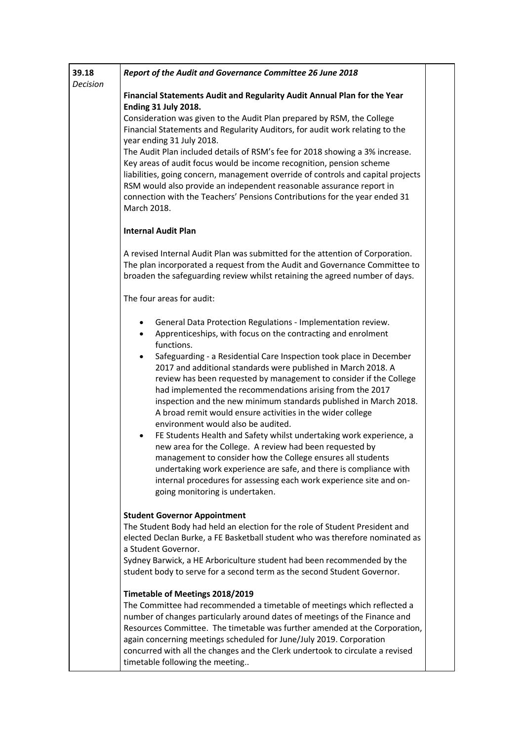| 39.18<br>Decision | Report of the Audit and Governance Committee 26 June 2018                                                                                                                                                                                                                                                                                                                                                                                                                                                                                                                                                                                                                                                                                                                                                                                                                                                                                                                                                                            |  |
|-------------------|--------------------------------------------------------------------------------------------------------------------------------------------------------------------------------------------------------------------------------------------------------------------------------------------------------------------------------------------------------------------------------------------------------------------------------------------------------------------------------------------------------------------------------------------------------------------------------------------------------------------------------------------------------------------------------------------------------------------------------------------------------------------------------------------------------------------------------------------------------------------------------------------------------------------------------------------------------------------------------------------------------------------------------------|--|
|                   | Financial Statements Audit and Regularity Audit Annual Plan for the Year<br>Ending 31 July 2018.<br>Consideration was given to the Audit Plan prepared by RSM, the College<br>Financial Statements and Regularity Auditors, for audit work relating to the<br>year ending 31 July 2018.<br>The Audit Plan included details of RSM's fee for 2018 showing a 3% increase.<br>Key areas of audit focus would be income recognition, pension scheme<br>liabilities, going concern, management override of controls and capital projects<br>RSM would also provide an independent reasonable assurance report in<br>connection with the Teachers' Pensions Contributions for the year ended 31<br>March 2018.                                                                                                                                                                                                                                                                                                                             |  |
|                   | <b>Internal Audit Plan</b>                                                                                                                                                                                                                                                                                                                                                                                                                                                                                                                                                                                                                                                                                                                                                                                                                                                                                                                                                                                                           |  |
|                   | A revised Internal Audit Plan was submitted for the attention of Corporation.<br>The plan incorporated a request from the Audit and Governance Committee to<br>broaden the safeguarding review whilst retaining the agreed number of days.                                                                                                                                                                                                                                                                                                                                                                                                                                                                                                                                                                                                                                                                                                                                                                                           |  |
|                   | The four areas for audit:                                                                                                                                                                                                                                                                                                                                                                                                                                                                                                                                                                                                                                                                                                                                                                                                                                                                                                                                                                                                            |  |
|                   | General Data Protection Regulations - Implementation review.<br>$\bullet$<br>Apprenticeships, with focus on the contracting and enrolment<br>$\bullet$<br>functions.<br>Safeguarding - a Residential Care Inspection took place in December<br>$\bullet$<br>2017 and additional standards were published in March 2018. A<br>review has been requested by management to consider if the College<br>had implemented the recommendations arising from the 2017<br>inspection and the new minimum standards published in March 2018.<br>A broad remit would ensure activities in the wider college<br>environment would also be audited.<br>FE Students Health and Safety whilst undertaking work experience, a<br>$\bullet$<br>new area for the College. A review had been requested by<br>management to consider how the College ensures all students<br>undertaking work experience are safe, and there is compliance with<br>internal procedures for assessing each work experience site and on-<br>going monitoring is undertaken. |  |
|                   | <b>Student Governor Appointment</b><br>The Student Body had held an election for the role of Student President and<br>elected Declan Burke, a FE Basketball student who was therefore nominated as<br>a Student Governor.<br>Sydney Barwick, a HE Arboriculture student had been recommended by the<br>student body to serve for a second term as the second Student Governor.                                                                                                                                                                                                                                                                                                                                                                                                                                                                                                                                                                                                                                                       |  |
|                   | Timetable of Meetings 2018/2019<br>The Committee had recommended a timetable of meetings which reflected a<br>number of changes particularly around dates of meetings of the Finance and<br>Resources Committee. The timetable was further amended at the Corporation,<br>again concerning meetings scheduled for June/July 2019. Corporation<br>concurred with all the changes and the Clerk undertook to circulate a revised<br>timetable following the meeting                                                                                                                                                                                                                                                                                                                                                                                                                                                                                                                                                                    |  |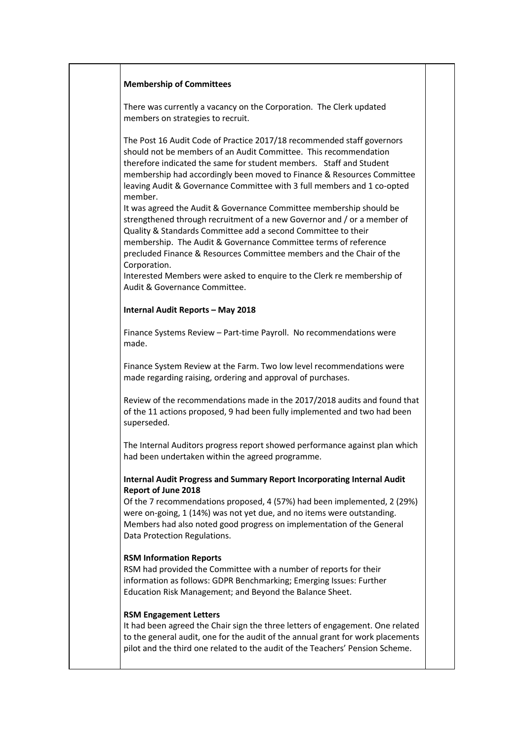#### **Membership of Committees**

There was currently a vacancy on the Corporation. The Clerk updated members on strategies to recruit.

The Post 16 Audit Code of Practice 2017/18 recommended staff governors should not be members of an Audit Committee. This recommendation therefore indicated the same for student members. Staff and Student membership had accordingly been moved to Finance & Resources Committee leaving Audit & Governance Committee with 3 full members and 1 co-opted member.

It was agreed the Audit & Governance Committee membership should be strengthened through recruitment of a new Governor and / or a member of Quality & Standards Committee add a second Committee to their membership. The Audit & Governance Committee terms of reference precluded Finance & Resources Committee members and the Chair of the Corporation.

Interested Members were asked to enquire to the Clerk re membership of Audit & Governance Committee.

#### **Internal Audit Reports – May 2018**

Finance Systems Review – Part-time Payroll. No recommendations were made.

Finance System Review at the Farm. Two low level recommendations were made regarding raising, ordering and approval of purchases.

Review of the recommendations made in the 2017/2018 audits and found that of the 11 actions proposed, 9 had been fully implemented and two had been superseded.

The Internal Auditors progress report showed performance against plan which had been undertaken within the agreed programme.

## **Internal Audit Progress and Summary Report Incorporating Internal Audit Report of June 2018**

Of the 7 recommendations proposed, 4 (57%) had been implemented, 2 (29%) were on-going, 1 (14%) was not yet due, and no items were outstanding. Members had also noted good progress on implementation of the General Data Protection Regulations.

### **RSM Information Reports**

RSM had provided the Committee with a number of reports for their information as follows: GDPR Benchmarking; Emerging Issues: Further Education Risk Management; and Beyond the Balance Sheet.

### **RSM Engagement Letters**

It had been agreed the Chair sign the three letters of engagement. One related to the general audit, one for the audit of the annual grant for work placements pilot and the third one related to the audit of the Teachers' Pension Scheme.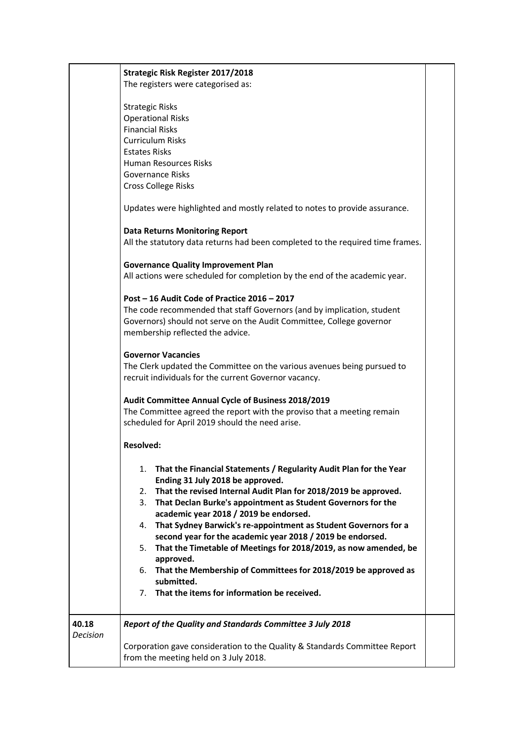|                   | <b>Strategic Risk Register 2017/2018</b>                                                                                                                                                                                                                                                                                                                                                                                                                                                                                                                                                                                                                                                                                                                                                                                                                        |  |
|-------------------|-----------------------------------------------------------------------------------------------------------------------------------------------------------------------------------------------------------------------------------------------------------------------------------------------------------------------------------------------------------------------------------------------------------------------------------------------------------------------------------------------------------------------------------------------------------------------------------------------------------------------------------------------------------------------------------------------------------------------------------------------------------------------------------------------------------------------------------------------------------------|--|
|                   | The registers were categorised as:<br><b>Strategic Risks</b><br><b>Operational Risks</b><br><b>Financial Risks</b><br><b>Curriculum Risks</b><br><b>Estates Risks</b><br><b>Human Resources Risks</b><br>Governance Risks<br><b>Cross College Risks</b><br>Updates were highlighted and mostly related to notes to provide assurance.<br><b>Data Returns Monitoring Report</b><br>All the statutory data returns had been completed to the required time frames.<br><b>Governance Quality Improvement Plan</b><br>All actions were scheduled for completion by the end of the academic year.<br>Post - 16 Audit Code of Practice 2016 - 2017<br>The code recommended that staff Governors (and by implication, student<br>Governors) should not serve on the Audit Committee, College governor<br>membership reflected the advice.<br><b>Governor Vacancies</b> |  |
|                   | The Clerk updated the Committee on the various avenues being pursued to<br>recruit individuals for the current Governor vacancy.                                                                                                                                                                                                                                                                                                                                                                                                                                                                                                                                                                                                                                                                                                                                |  |
|                   | Audit Committee Annual Cycle of Business 2018/2019<br>The Committee agreed the report with the proviso that a meeting remain<br>scheduled for April 2019 should the need arise.                                                                                                                                                                                                                                                                                                                                                                                                                                                                                                                                                                                                                                                                                 |  |
|                   | <b>Resolved:</b>                                                                                                                                                                                                                                                                                                                                                                                                                                                                                                                                                                                                                                                                                                                                                                                                                                                |  |
|                   | That the Financial Statements / Regularity Audit Plan for the Year<br>1.<br>Ending 31 July 2018 be approved.<br>That the revised Internal Audit Plan for 2018/2019 be approved.<br>2.<br>That Declan Burke's appointment as Student Governors for the<br>3.<br>academic year 2018 / 2019 be endorsed.<br>That Sydney Barwick's re-appointment as Student Governors for a<br>4.<br>second year for the academic year 2018 / 2019 be endorsed.<br>That the Timetable of Meetings for 2018/2019, as now amended, be<br>5.<br>approved.<br>That the Membership of Committees for 2018/2019 be approved as<br>6.<br>submitted.<br>7. That the items for information be received.                                                                                                                                                                                     |  |
| 40.18<br>Decision | Report of the Quality and Standards Committee 3 July 2018<br>Corporation gave consideration to the Quality & Standards Committee Report<br>from the meeting held on 3 July 2018.                                                                                                                                                                                                                                                                                                                                                                                                                                                                                                                                                                                                                                                                                |  |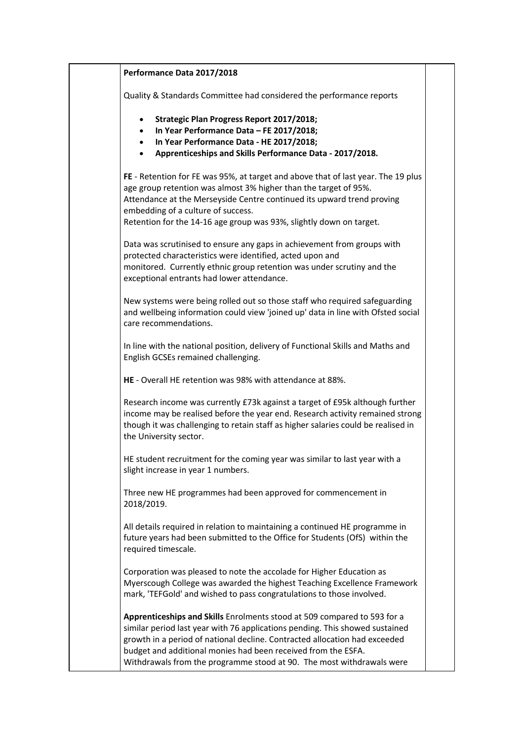| Performance Data 2017/2018                                                                                                                                                                                                                                                                                                                                                       |  |
|----------------------------------------------------------------------------------------------------------------------------------------------------------------------------------------------------------------------------------------------------------------------------------------------------------------------------------------------------------------------------------|--|
| Quality & Standards Committee had considered the performance reports                                                                                                                                                                                                                                                                                                             |  |
| Strategic Plan Progress Report 2017/2018;<br>$\bullet$<br>In Year Performance Data - FE 2017/2018;<br>In Year Performance Data - HE 2017/2018;<br>$\bullet$<br>Apprenticeships and Skills Performance Data - 2017/2018.                                                                                                                                                          |  |
| FE - Retention for FE was 95%, at target and above that of last year. The 19 plus<br>age group retention was almost 3% higher than the target of 95%.<br>Attendance at the Merseyside Centre continued its upward trend proving<br>embedding of a culture of success.<br>Retention for the 14-16 age group was 93%, slightly down on target.                                     |  |
| Data was scrutinised to ensure any gaps in achievement from groups with<br>protected characteristics were identified, acted upon and<br>monitored. Currently ethnic group retention was under scrutiny and the<br>exceptional entrants had lower attendance.                                                                                                                     |  |
| New systems were being rolled out so those staff who required safeguarding<br>and wellbeing information could view 'joined up' data in line with Ofsted social<br>care recommendations.                                                                                                                                                                                          |  |
| In line with the national position, delivery of Functional Skills and Maths and<br>English GCSEs remained challenging.                                                                                                                                                                                                                                                           |  |
| HE - Overall HE retention was 98% with attendance at 88%.                                                                                                                                                                                                                                                                                                                        |  |
| Research income was currently £73k against a target of £95k although further<br>income may be realised before the year end. Research activity remained strong<br>though it was challenging to retain staff as higher salaries could be realised in<br>the University sector.                                                                                                     |  |
| HE student recruitment for the coming year was similar to last year with a<br>slight increase in year 1 numbers.                                                                                                                                                                                                                                                                 |  |
| Three new HE programmes had been approved for commencement in<br>2018/2019.                                                                                                                                                                                                                                                                                                      |  |
| All details required in relation to maintaining a continued HE programme in<br>future years had been submitted to the Office for Students (OfS) within the<br>required timescale.                                                                                                                                                                                                |  |
| Corporation was pleased to note the accolade for Higher Education as<br>Myerscough College was awarded the highest Teaching Excellence Framework<br>mark, 'TEFGold' and wished to pass congratulations to those involved.                                                                                                                                                        |  |
| Apprenticeships and Skills Enrolments stood at 509 compared to 593 for a<br>similar period last year with 76 applications pending. This showed sustained<br>growth in a period of national decline. Contracted allocation had exceeded<br>budget and additional monies had been received from the ESFA.<br>Withdrawals from the programme stood at 90. The most withdrawals were |  |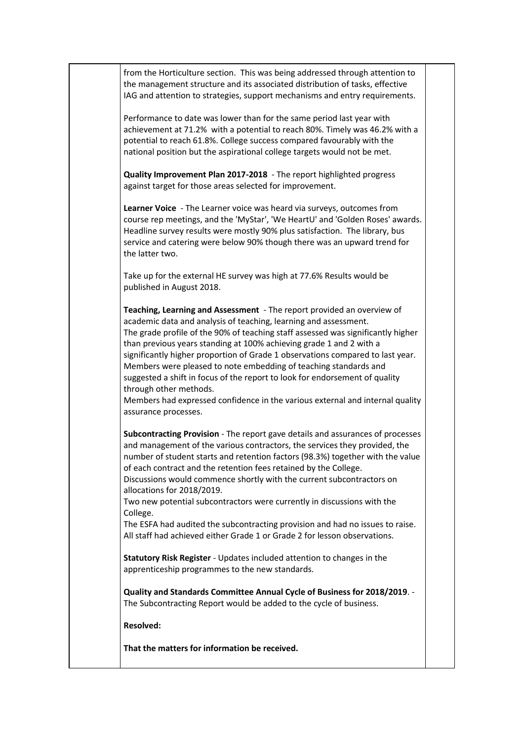from the Horticulture section. This was being addressed through attention to the management structure and its associated distribution of tasks, effective IAG and attention to strategies, support mechanisms and entry requirements.

Performance to date was lower than for the same period last year with achievement at 71.2% with a potential to reach 80%. Timely was 46.2% with a potential to reach 61.8%. College success compared favourably with the national position but the aspirational college targets would not be met.

**Quality Improvement Plan 2017-2018** - The report highlighted progress against target for those areas selected for improvement.

**Learner Voice** - The Learner voice was heard via surveys, outcomes from course rep meetings, and the 'MyStar', 'We HeartU' and 'Golden Roses' awards. Headline survey results were mostly 90% plus satisfaction. The library, bus service and catering were below 90% though there was an upward trend for the latter two.

Take up for the external HE survey was high at 77.6% Results would be published in August 2018.

**Teaching, Learning and Assessment** - The report provided an overview of academic data and analysis of teaching, learning and assessment. The grade profile of the 90% of teaching staff assessed was significantly higher than previous years standing at 100% achieving grade 1 and 2 with a significantly higher proportion of Grade 1 observations compared to last year. Members were pleased to note embedding of teaching standards and suggested a shift in focus of the report to look for endorsement of quality through other methods.

Members had expressed confidence in the various external and internal quality assurance processes.

**Subcontracting Provision** - The report gave details and assurances of processes and management of the various contractors, the services they provided, the number of student starts and retention factors (98.3%) together with the value of each contract and the retention fees retained by the College. Discussions would commence shortly with the current subcontractors on

allocations for 2018/2019.

Two new potential subcontractors were currently in discussions with the College.

The ESFA had audited the subcontracting provision and had no issues to raise. All staff had achieved either Grade 1 or Grade 2 for lesson observations.

**Statutory Risk Register** - Updates included attention to changes in the apprenticeship programmes to the new standards.

**Quality and Standards Committee Annual Cycle of Business for 2018/2019**. - The Subcontracting Report would be added to the cycle of business.

**Resolved:**

**That the matters for information be received.**